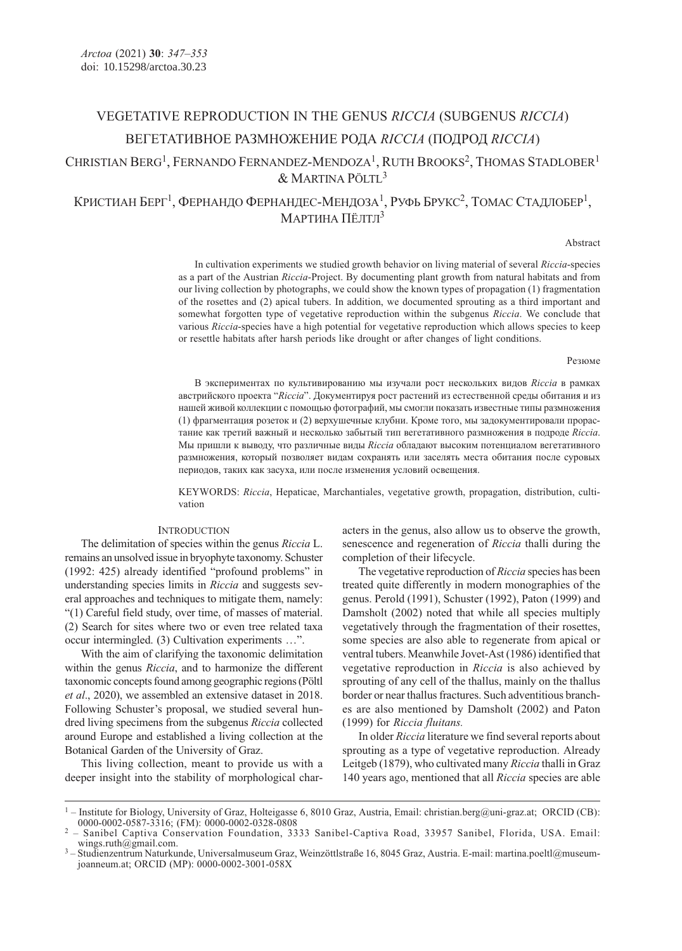# VEGETATIVE REPRODUCTION IN THE GENUS RICCIA (SUBGENUS RICCIA) ВЕГЕТАТИВНОЕ РАЗМНОЖЕНИЕ РОДA RICCIA (ПОДРОД RICCIA)

## CHRISTIAN BERG<sup>1</sup>, FERNANDO FERNANDEZ-MENDOZA<sup>1</sup>, RUTH BROOKS<sup>2</sup>, THOMAS STADLOBER<sup>1</sup> & MARTINA PÖLTL<sup>3</sup>

КРИСТИАН БЕРГ<sup>1</sup>, ФЕРНАНДО ФЕРНАНДЕС-МЕНДОЗА<sup>1</sup>, РУФЬ БРУКС<sup>2</sup>, ТОМАС СТАДЛОБЕР<sup>1</sup>, МАРТИНА ПЁЛТЛ<sup>3</sup>

### Abstract

In cultivation experiments we studied growth behavior on living material of several Riccia-species as a part of the Austrian Riccia-Project. By documenting plant growth from natural habitats and from our living collection by photographs, we could show the known types of propagation (1) fragmentation of the rosettes and (2) apical tubers. In addition, we documented sprouting as a third important and somewhat forgotten type of vegetative reproduction within the subgenus Riccia. We conclude that various Riccia-species have a high potential for vegetative reproduction which allows species to keep or resettle habitats after harsh periods like drought or after changes of light conditions.

### Резюме

В экспериментах по культивированию мы изучали рост нескольких видов Riccia в рамках австрийского проекта "Riccia". Документируя рост растений из естественной среды обитания и из нашей живой коллекции с помощью фотографий, мы смогли показать известные типы размножения (1) фрагментация розеток и (2) верхушечные клубни. Кроме того, мы задокументировали прорастание как третий важный и несколько забытый тип вегетативного размножения в подроде Riccia. Мы пришли к выводу, что различные виды Riccia обладают высоким потенциалом вегетативного размножения, который позволяет видам сохранять или заселять места обитания после суровых периодов, таких как засуха, или после изменения условий освещения.

KEYWORDS: Riccia, Hepaticae, Marchantiales, vegetative growth, propagation, distribution, cultivation

## **INTRODUCTION**

The delimitation of species within the genus Riccia L. remains an unsolved issue in bryophyte taxonomy. Schuster (1992: 425) already identified "profound problems" in understanding species limits in Riccia and suggests several approaches and techniques to mitigate them, namely: "(1) Careful field study, over time, of masses of material. (2) Search for sites where two or even tree related taxa occur intermingled. (3) Cultivation experiments …".

With the aim of clarifying the taxonomic delimitation within the genus *Riccia*, and to harmonize the different taxonomic concepts found among geographic regions (Pöltl et al., 2020), we assembled an extensive dataset in 2018. Following Schuster's proposal, we studied several hundred living specimens from the subgenus Riccia collected around Europe and established a living collection at the Botanical Garden of the University of Graz.

This living collection, meant to provide us with a deeper insight into the stability of morphological characters in the genus, also allow us to observe the growth, senescence and regeneration of Riccia thalli during the completion of their lifecycle.

The vegetative reproduction of Riccia species has been treated quite differently in modern monographies of the genus. Perold (1991), Schuster (1992), Paton (1999) and Damsholt (2002) noted that while all species multiply vegetatively through the fragmentation of their rosettes, some species are also able to regenerate from apical or ventral tubers. Meanwhile Jovet-Ast (1986) identified that vegetative reproduction in Riccia is also achieved by sprouting of any cell of the thallus, mainly on the thallus border or near thallus fractures. Such adventitious branches are also mentioned by Damsholt (2002) and Paton (1999) for Riccia fluitans.

In older Riccia literature we find several reports about sprouting as a type of vegetative reproduction. Already Leitgeb (1879), who cultivated many Riccia thalli in Graz 140 years ago, mentioned that all Riccia species are able

<sup>&</sup>lt;sup>1</sup> – Institute for Biology, University of Graz, Holteigasse 6, 8010 Graz, Austria, Email: christian.berg@uni-graz.at; ORCID (CB): 0000-0002-0587-3316; (FM): 0000-0002-0328-0808

<sup>&</sup>lt;sup>2</sup> - Sanibel Captiva Conservation Foundation, 3333 Sanibel-Captiva Road, 33957 Sanibel, Florida, USA. Email: wings.ruth@gmail.com.

<sup>&</sup>lt;sup>3</sup> – Studienzentrum Naturkunde, Universalmuseum Graz, Weinzöttlstraße 16, 8045 Graz, Austria. E-mail: martina.poeltl@museumjoanneum.at; ORCID (MP): 0000-0002-3001-058X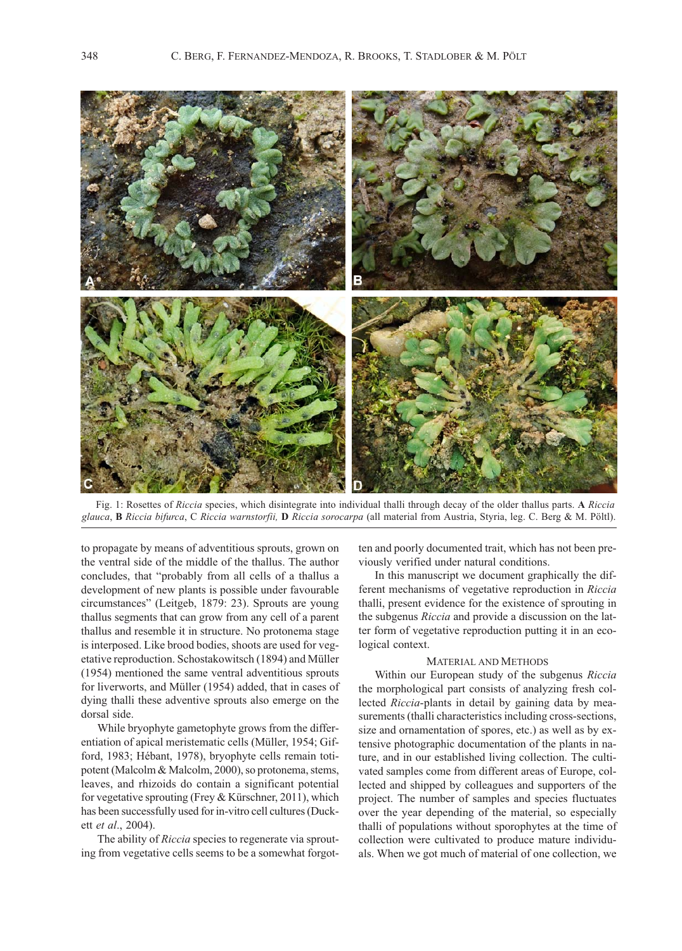

Fig. 1: Rosettes of Riccia species, which disintegrate into individual thalli through decay of the older thallus parts. A Riccia glauca, B Riccia bifurca, C Riccia warnstorfii, D Riccia sorocarpa (all material from Austria, Styria, leg. C. Berg & M. Pöltl).

to propagate by means of adventitious sprouts, grown on the ventral side of the middle of the thallus. The author concludes, that "probably from all cells of a thallus a development of new plants is possible under favourable circumstances" (Leitgeb, 1879: 23). Sprouts are young thallus segments that can grow from any cell of a parent thallus and resemble it in structure. No protonema stage is interposed. Like brood bodies, shoots are used for vegetative reproduction. Schostakowitsch (1894) and Müller (1954) mentioned the same ventral adventitious sprouts for liverworts, and Müller (1954) added, that in cases of dying thalli these adventive sprouts also emerge on the dorsal side.

While bryophyte gametophyte grows from the differentiation of apical meristematic cells (Müller, 1954; Gifford, 1983; Hébant, 1978), bryophyte cells remain totipotent (Malcolm & Malcolm, 2000), so protonema, stems, leaves, and rhizoids do contain a significant potential for vegetative sprouting (Frey & Kürschner, 2011), which has been successfully used for in-vitro cell cultures (Duckett et al., 2004).

The ability of *Riccia* species to regenerate via sprouting from vegetative cells seems to be a somewhat forgotten and poorly documented trait, which has not been previously verified under natural conditions.

In this manuscript we document graphically the different mechanisms of vegetative reproduction in Riccia thalli, present evidence for the existence of sprouting in the subgenus Riccia and provide a discussion on the latter form of vegetative reproduction putting it in an ecological context.

#### MATERIAL AND METHODS

Within our European study of the subgenus Riccia the morphological part consists of analyzing fresh collected Riccia-plants in detail by gaining data by measurements (thalli characteristics including cross-sections, size and ornamentation of spores, etc.) as well as by extensive photographic documentation of the plants in nature, and in our established living collection. The cultivated samples come from different areas of Europe, collected and shipped by colleagues and supporters of the project. The number of samples and species fluctuates over the year depending of the material, so especially thalli of populations without sporophytes at the time of collection were cultivated to produce mature individuals. When we got much of material of one collection, we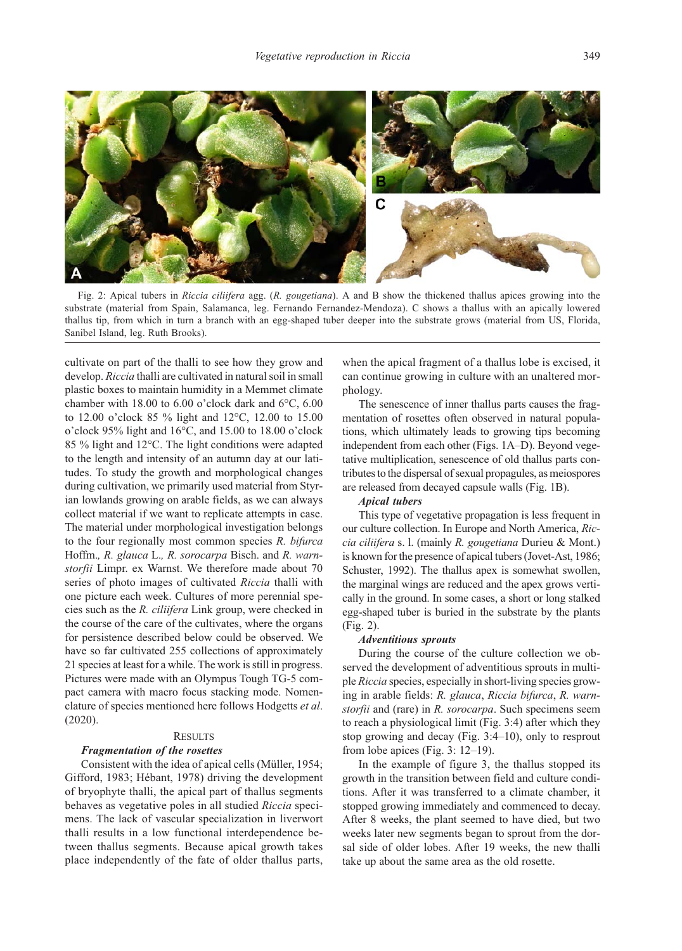

Fig. 2: Apical tubers in Riccia ciliifera agg. (R. gougetiana). A and B show the thickened thallus apices growing into the substrate (material from Spain, Salamanca, leg. Fernando Fernandez-Mendoza). C shows a thallus with an apically lowered thallus tip, from which in turn a branch with an egg-shaped tuber deeper into the substrate grows (material from US, Florida, Sanibel Island, leg. Ruth Brooks).

cultivate on part of the thalli to see how they grow and develop. Riccia thalli are cultivated in natural soil in small plastic boxes to maintain humidity in a Memmet climate chamber with 18.00 to 6.00 o'clock dark and 6°C, 6.00 to 12.00 o'clock 85 % light and 12°C, 12.00 to 15.00 o'clock 95% light and 16°C, and 15.00 to 18.00 o'clock 85 % light and 12°C. The light conditions were adapted to the length and intensity of an autumn day at our latitudes. To study the growth and morphological changes during cultivation, we primarily used material from Styrian lowlands growing on arable fields, as we can always collect material if we want to replicate attempts in case. The material under morphological investigation belongs to the four regionally most common species R. bifurca Hoffm., R. glauca L., R. sorocarpa Bisch. and R. warnstorfii Limpr. ex Warnst. We therefore made about 70 series of photo images of cultivated Riccia thalli with one picture each week. Cultures of more perennial species such as the R. ciliifera Link group, were checked in the course of the care of the cultivates, where the organs for persistence described below could be observed. We have so far cultivated 255 collections of approximately 21 species at least for a while. The work is still in progress. Pictures were made with an Olympus Tough TG-5 compact camera with macro focus stacking mode. Nomenclature of species mentioned here follows Hodgetts et al. (2020).

## **RESULTS**

## Fragmentation of the rosettes

Consistent with the idea of apical cells (Müller, 1954; Gifford, 1983; Hébant, 1978) driving the development of bryophyte thalli, the apical part of thallus segments behaves as vegetative poles in all studied Riccia specimens. The lack of vascular specialization in liverwort thalli results in a low functional interdependence between thallus segments. Because apical growth takes place independently of the fate of older thallus parts,

when the apical fragment of a thallus lobe is excised, it can continue growing in culture with an unaltered morphology.

The senescence of inner thallus parts causes the fragmentation of rosettes often observed in natural populations, which ultimately leads to growing tips becoming independent from each other (Figs. 1A–D). Beyond vegetative multiplication, senescence of old thallus parts contributes to the dispersal of sexual propagules, as meiospores are released from decayed capsule walls (Fig. 1B).

## Apical tubers

This type of vegetative propagation is less frequent in our culture collection. In Europe and North America, Riccia ciliifera s. l. (mainly R. gougetiana Durieu & Mont.) is known for the presence of apical tubers (Jovet-Ast, 1986; Schuster, 1992). The thallus apex is somewhat swollen, the marginal wings are reduced and the apex grows vertically in the ground. In some cases, a short or long stalked egg-shaped tuber is buried in the substrate by the plants (Fig. 2).

## Adventitious sprouts

During the course of the culture collection we observed the development of adventitious sprouts in multiple Riccia species, especially in short-living species growing in arable fields: R. glauca, Riccia bifurca, R. warnstorfii and (rare) in R. sorocarpa. Such specimens seem to reach a physiological limit (Fig. 3:4) after which they stop growing and decay (Fig. 3:4–10), only to resprout from lobe apices (Fig. 3: 12–19).

In the example of figure 3, the thallus stopped its growth in the transition between field and culture conditions. After it was transferred to a climate chamber, it stopped growing immediately and commenced to decay. After 8 weeks, the plant seemed to have died, but two weeks later new segments began to sprout from the dorsal side of older lobes. After 19 weeks, the new thalli take up about the same area as the old rosette.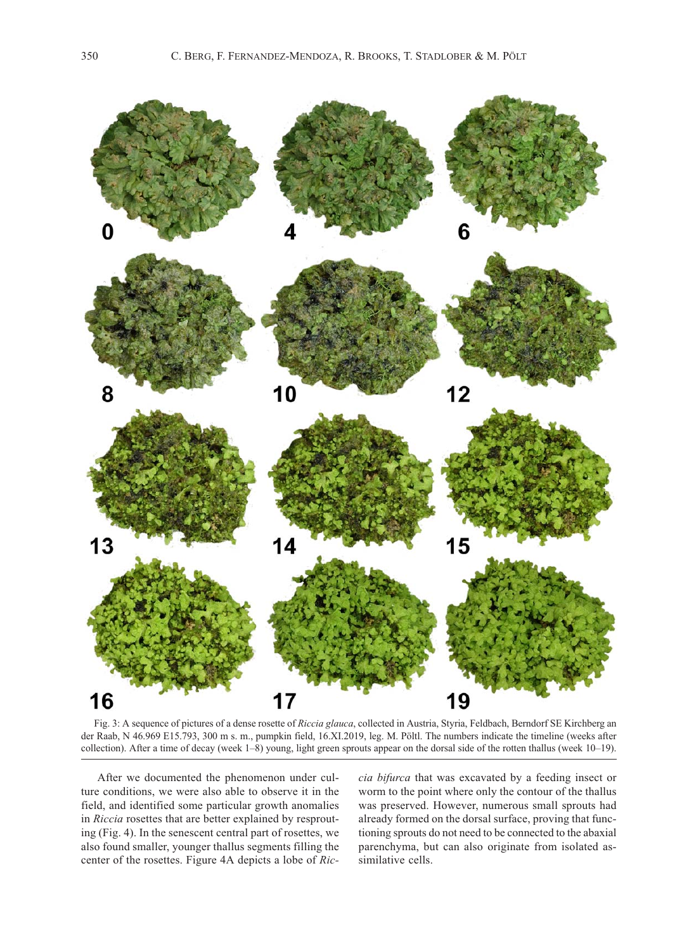

Fig. 3: A sequence of pictures of a dense rosette of Riccia glauca, collected in Austria, Styria, Feldbach, Berndorf SE Kirchberg an der Raab, N 46.969 E15.793, 300 m s. m., pumpkin field, 16.XI.2019, leg. M. Pöltl. The numbers indicate the timeline (weeks after collection). After a time of decay (week 1–8) young, light green sprouts appear on the dorsal side of the rotten thallus (week 10–19).

After we documented the phenomenon under culture conditions, we were also able to observe it in the field, and identified some particular growth anomalies in Riccia rosettes that are better explained by resprouting (Fig. 4). In the senescent central part of rosettes, we also found smaller, younger thallus segments filling the center of the rosettes. Figure 4A depicts a lobe of Riccia bifurca that was excavated by a feeding insect or worm to the point where only the contour of the thallus was preserved. However, numerous small sprouts had already formed on the dorsal surface, proving that functioning sprouts do not need to be connected to the abaxial parenchyma, but can also originate from isolated assimilative cells.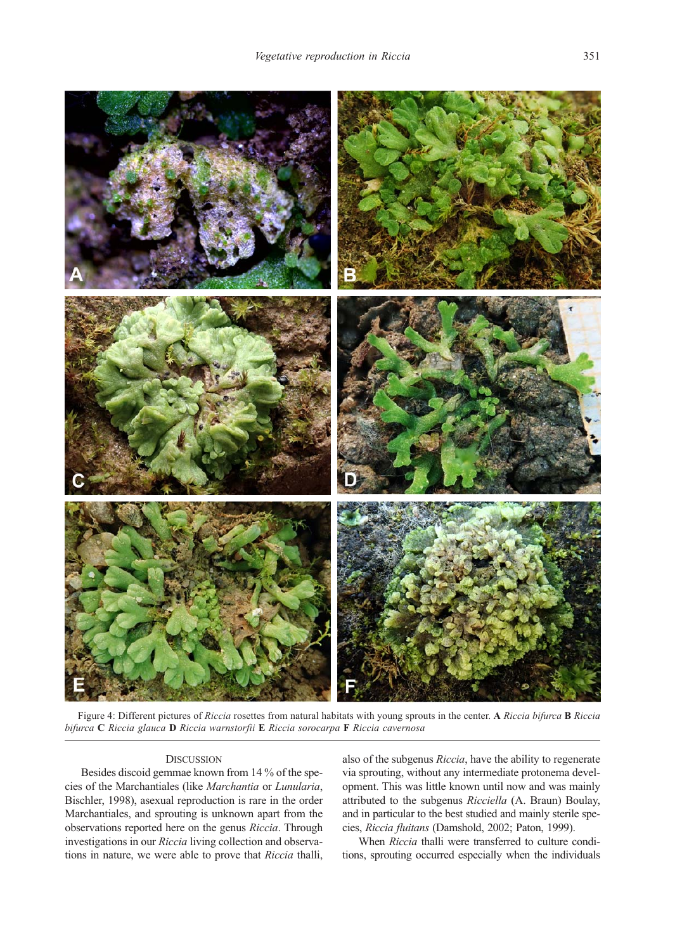

Figure 4: Different pictures of Riccia rosettes from natural habitats with young sprouts in the center. A Riccia bifurca **B** Riccia bifurca C Riccia glauca D Riccia warnstorfii E Riccia sorocarpa F Riccia cavernosa

## **DISCUSSION**

Besides discoid gemmae known from 14 % of the species of the Marchantiales (like Marchantia or Lunularia, Bischler, 1998), asexual reproduction is rare in the order Marchantiales, and sprouting is unknown apart from the observations reported here on the genus Riccia. Through investigations in our Riccia living collection and observations in nature, we were able to prove that Riccia thalli,

also of the subgenus Riccia, have the ability to regenerate via sprouting, without any intermediate protonema development. This was little known until now and was mainly attributed to the subgenus Ricciella (A. Braun) Boulay, and in particular to the best studied and mainly sterile species, Riccia fluitans (Damshold, 2002; Paton, 1999).

When Riccia thalli were transferred to culture conditions, sprouting occurred especially when the individuals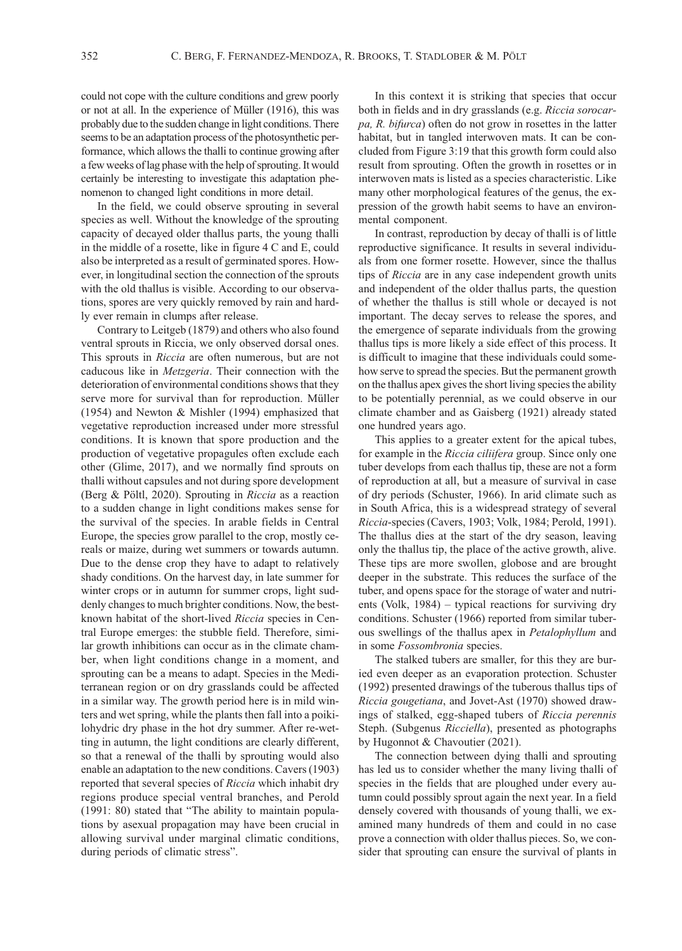could not cope with the culture conditions and grew poorly or not at all. In the experience of Müller (1916), this was probably due to the sudden change in light conditions. There seems to be an adaptation process of the photosynthetic performance, which allows the thalli to continue growing after a few weeks of lag phase with the help of sprouting. It would certainly be interesting to investigate this adaptation phenomenon to changed light conditions in more detail.

In the field, we could observe sprouting in several species as well. Without the knowledge of the sprouting capacity of decayed older thallus parts, the young thalli in the middle of a rosette, like in figure 4 C and E, could also be interpreted as a result of germinated spores. However, in longitudinal section the connection of the sprouts with the old thallus is visible. According to our observations, spores are very quickly removed by rain and hardly ever remain in clumps after release.

Contrary to Leitgeb (1879) and others who also found ventral sprouts in Riccia, we only observed dorsal ones. This sprouts in Riccia are often numerous, but are not caducous like in Metzgeria. Their connection with the deterioration of environmental conditions shows that they serve more for survival than for reproduction. Müller (1954) and Newton & Mishler (1994) emphasized that vegetative reproduction increased under more stressful conditions. It is known that spore production and the production of vegetative propagules often exclude each other (Glime, 2017), and we normally find sprouts on thalli without capsules and not during spore development (Berg & Pöltl, 2020). Sprouting in Riccia as a reaction to a sudden change in light conditions makes sense for the survival of the species. In arable fields in Central Europe, the species grow parallel to the crop, mostly cereals or maize, during wet summers or towards autumn. Due to the dense crop they have to adapt to relatively shady conditions. On the harvest day, in late summer for winter crops or in autumn for summer crops, light suddenly changes to much brighter conditions. Now, the bestknown habitat of the short-lived Riccia species in Central Europe emerges: the stubble field. Therefore, similar growth inhibitions can occur as in the climate chamber, when light conditions change in a moment, and sprouting can be a means to adapt. Species in the Mediterranean region or on dry grasslands could be affected in a similar way. The growth period here is in mild winters and wet spring, while the plants then fall into a poikilohydric dry phase in the hot dry summer. After re-wetting in autumn, the light conditions are clearly different, so that a renewal of the thalli by sprouting would also enable an adaptation to the new conditions. Cavers (1903) reported that several species of Riccia which inhabit dry regions produce special ventral branches, and Perold (1991: 80) stated that "The ability to maintain populations by asexual propagation may have been crucial in allowing survival under marginal climatic conditions, during periods of climatic stress".

In this context it is striking that species that occur both in fields and in dry grasslands (e.g. Riccia sorocarpa, R. bifurca) often do not grow in rosettes in the latter habitat, but in tangled interwoven mats. It can be concluded from Figure 3:19 that this growth form could also result from sprouting. Often the growth in rosettes or in interwoven mats is listed as a species characteristic. Like many other morphological features of the genus, the expression of the growth habit seems to have an environmental component.

In contrast, reproduction by decay of thalli is of little reproductive significance. It results in several individuals from one former rosette. However, since the thallus tips of Riccia are in any case independent growth units and independent of the older thallus parts, the question of whether the thallus is still whole or decayed is not important. The decay serves to release the spores, and the emergence of separate individuals from the growing thallus tips is more likely a side effect of this process. It is difficult to imagine that these individuals could somehow serve to spread the species. But the permanent growth on the thallus apex gives the short living species the ability to be potentially perennial, as we could observe in our climate chamber and as Gaisberg (1921) already stated one hundred years ago.

This applies to a greater extent for the apical tubes, for example in the Riccia ciliifera group. Since only one tuber develops from each thallus tip, these are not a form of reproduction at all, but a measure of survival in case of dry periods (Schuster, 1966). In arid climate such as in South Africa, this is a widespread strategy of several Riccia-species (Cavers, 1903; Volk, 1984; Perold, 1991). The thallus dies at the start of the dry season, leaving only the thallus tip, the place of the active growth, alive. These tips are more swollen, globose and are brought deeper in the substrate. This reduces the surface of the tuber, and opens space for the storage of water and nutrients (Volk, 1984) – typical reactions for surviving dry conditions. Schuster (1966) reported from similar tuberous swellings of the thallus apex in Petalophyllum and in some Fossombronia species.

The stalked tubers are smaller, for this they are buried even deeper as an evaporation protection. Schuster (1992) presented drawings of the tuberous thallus tips of Riccia gougetiana, and Jovet-Ast (1970) showed drawings of stalked, egg-shaped tubers of Riccia perennis Steph. (Subgenus Ricciella), presented as photographs by Hugonnot & Chavoutier (2021).

The connection between dying thalli and sprouting has led us to consider whether the many living thalli of species in the fields that are ploughed under every autumn could possibly sprout again the next year. In a field densely covered with thousands of young thalli, we examined many hundreds of them and could in no case prove a connection with older thallus pieces. So, we consider that sprouting can ensure the survival of plants in